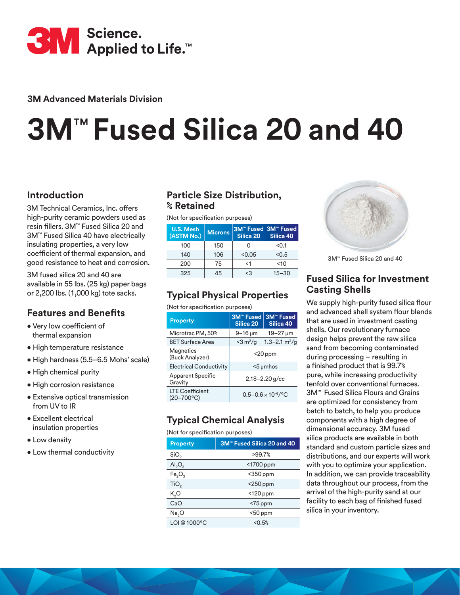

**3M Advanced Materials Division**

# **3M**™ **Fused Silica 20 and 40**

# **Introduction**

3M Technical Ceramics, Inc. offers high-purity ceramic powders used as resin fillers. 3M™ Fused Silica 20 and 3M™ Fused Silica 40 have electrically insulating properties, a very low coefficient of thermal expansion, and good resistance to heat and corrosion.

3M fused silica 20 and 40 are available in 55 lbs. (25 kg) paper bags or 2,200 lbs. (1,000 kg) tote sacks.

# **Features and Benefits**

- Very low coefficient of thermal expansion
- High temperature resistance
- High hardness (5.5–6.5 Mohs' scale)
- High chemical purity
- High corrosion resistance
- Extensive optical transmission from UV to IR
- Excellent electrical insulation properties
- Low density
- Low thermal conductivity

# **Particle Size Distribution, % Retained**

(Not for specification purposes)

| <b>U.S. Mesh</b><br>(ASTM No.) | <b>Microns</b> | 3M™ Fused 3M™ Fused<br>Silica 20 | Silica 40 |
|--------------------------------|----------------|----------------------------------|-----------|
| 100                            | 150            | ი                                | < 0.1     |
| 140                            | 106            | < 0.05                           | < 0.5     |
| 200                            | 75             | <1                               | $<$ 10    |
| 325                            | 45             | $\leq$ 3                         | $15 - 30$ |

# **Typical Physical Properties**

(Not for specification purposes)

| <b>Property</b>                           | <b>3M<sup>™</sup> Fused</b><br>Silica 20 | <b>3M™ Fused</b><br>Silica 40 |
|-------------------------------------------|------------------------------------------|-------------------------------|
| Microtrac PM, 50%                         | $9 - 16 \,\mu m$                         | $19 - 27 \,\mu m$             |
| <b>BET Surface Area</b>                   | $<$ 3 m <sup>2</sup> /g                  | $1.3 - 2.1$ m <sup>2</sup> /g |
| Magnetics<br>(Buck Analyzer)              | $<$ 20 ppm                               |                               |
| <b>Electrical Conductivity</b>            |                                          | $5 \mu$ mhos                  |
| <b>Apparent Specific</b><br>Gravity       | $2.18 - 2.20$ g/cc                       |                               |
| <b>LTE Coefficient</b><br>$(20 - 700$ °C) | $0.5 - 0.6 \times 10^{-6}$ / °C          |                               |

# **Typical Chemical Analysis**

#### (Not for specification purposes)

| <b>Property</b>             | 3M™ Fused Silica 20 and 40 |  |
|-----------------------------|----------------------------|--|
| SiO <sub>2</sub>            | >99.7%                     |  |
| $\mathsf{Al}_2\mathsf{O}_3$ | <1700 ppm                  |  |
| $Fe_2O_3$                   | $<$ 350 ppm                |  |
| TiO <sub>2</sub>            | <250 ppm                   |  |
| K,O                         | <120 ppm                   |  |
| CaO                         | $<$ 75 ppm                 |  |
| Na <sub>2</sub> O           | $<$ 50 ppm                 |  |
| LOI @ 1000°C                | < 0.5%                     |  |



3M™ Fused Silica 20 and 40

## **Fused Silica for Investment Casting Shells**

We supply high-purity fused silica flour and advanced shell system flour blends that are used in investment casting shells. Our revolutionary furnace design helps prevent the raw silica sand from becoming contaminated during processing – resulting in a finished product that is 99.7% pure, while increasing productivity tenfold over conventional furnaces. 3M™ Fused Silica Flours and Grains are optimized for consistency from batch to batch, to help you produce components with a high degree of dimensional accuracy. 3M fused silica products are available in both standard and custom particle sizes and distributions, and our experts will work with you to optimize your application. In addition, we can provide traceability data throughout our process, from the arrival of the high-purity sand at our facility to each bag of finished fused silica in your inventory.